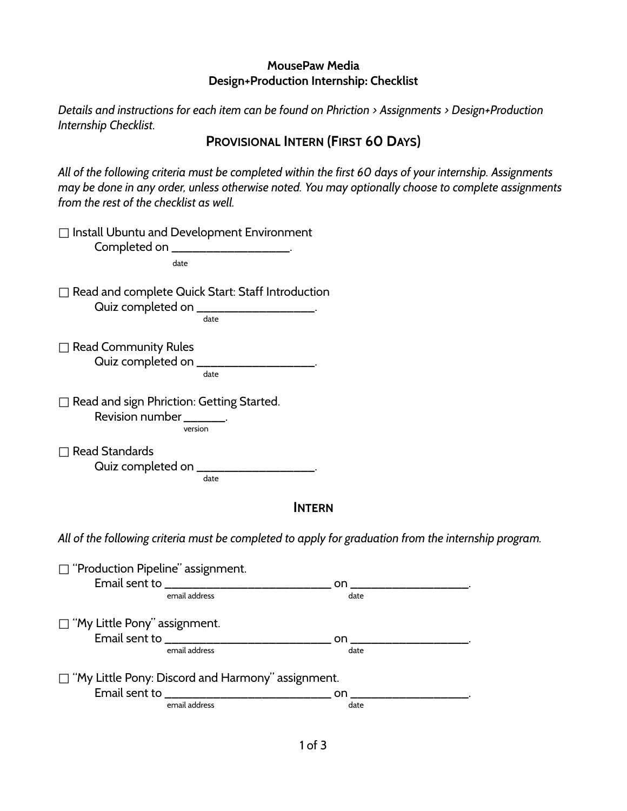## **MousePaw Media Design+Production Internship: Checklist**

*Details and instructions for each item can be found on Phriction > Assignments > Design+Production Internship Checklist.*

## **PROVISIONAL INTERN (FIRST 60 DAYS)**

*All of the following criteria must be completed within the first 60 days of your internship. Assignments may be done in any order, unless otherwise noted. You may optionally choose to complete assignments from the rest of the checklist as well.*

| □ Install Ubuntu and Development Environment<br>Completed on ____________________                          |                                                                                                                       |  |
|------------------------------------------------------------------------------------------------------------|-----------------------------------------------------------------------------------------------------------------------|--|
| date                                                                                                       |                                                                                                                       |  |
| $\Box$ Read and complete Quick Start: Staff Introduction<br>Quiz completed on ____________________<br>date |                                                                                                                       |  |
| $\Box$ Read Community Rules<br>Quiz completed on ____________________<br>date                              |                                                                                                                       |  |
| $\Box$ Read and sign Phriction: Getting Started.<br>Revision number $\frac{1}{\text{version}}$ .           |                                                                                                                       |  |
| <b>Read Standards</b><br>date                                                                              |                                                                                                                       |  |
| <b>INTERN</b>                                                                                              |                                                                                                                       |  |
| All of the following criteria must be completed to apply for graduation from the internship program.       |                                                                                                                       |  |
| $\Box$ "Production Pipeline" assignment.                                                                   |                                                                                                                       |  |
| email address                                                                                              | on a complete the contract of the contract of the contract of the contract of the contract of the contract of<br>date |  |
| $\Box$ "My Little Pony" assignment.                                                                        |                                                                                                                       |  |
| email address                                                                                              | on ________________________<br>date                                                                                   |  |
| $\Box$ "My Little Pony: Discord and Harmony" assignment.                                                   |                                                                                                                       |  |
| email address                                                                                              | date                                                                                                                  |  |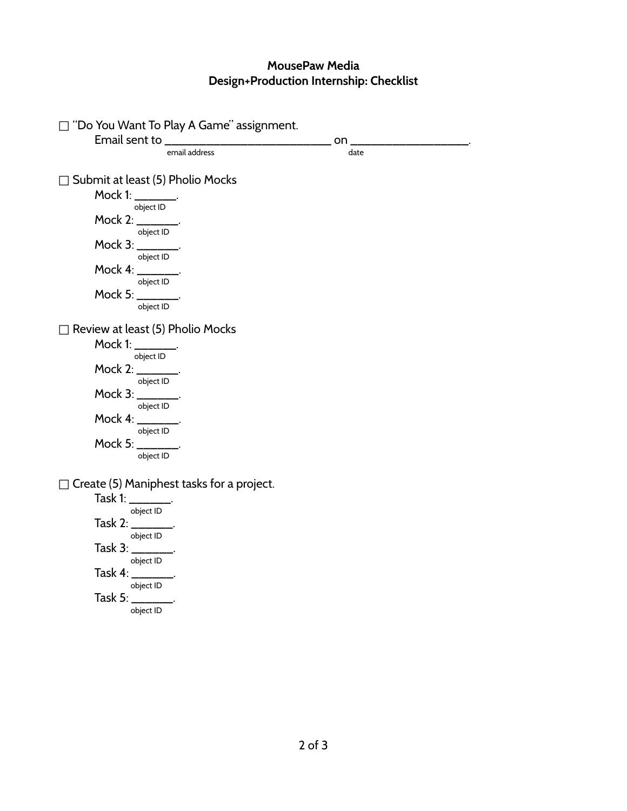## **MousePaw Media Design+Production Internship: Checklist**

| "Do You Want To Play A Game" assignment.  |      |  |
|-------------------------------------------|------|--|
|                                           | on.  |  |
| email address                             | date |  |
|                                           |      |  |
| Submit at least (5) Pholio Mocks          |      |  |
| Mock 1: ________.                         |      |  |
| object ID                                 |      |  |
| Mock 2: ________.                         |      |  |
| object ID                                 |      |  |
| Mock $3:$ ________.                       |      |  |
| object ID                                 |      |  |
| Mock 4: ________.<br>object ID            |      |  |
| Mock 5: ________.                         |      |  |
| object ID                                 |      |  |
|                                           |      |  |
| Review at least (5) Pholio Mocks          |      |  |
| Mock 1: ________.                         |      |  |
| object ID                                 |      |  |
| Mock 2: _______.                          |      |  |
| object ID                                 |      |  |
| Mock 3: _______.                          |      |  |
| object ID                                 |      |  |
| Mock 4: _______.<br>object ID             |      |  |
| Mock 5: ________.                         |      |  |
| object ID                                 |      |  |
|                                           |      |  |
| Create (5) Maniphest tasks for a project. |      |  |
| Task 1: ________.                         |      |  |
| object ID                                 |      |  |
| Task 2: ________.                         |      |  |
| object ID                                 |      |  |
| Task $3:$ ________.                       |      |  |

object ID Task 4: \_\_\_\_\_\_. object ID Task 5: \_\_\_\_\_\_.

object ID